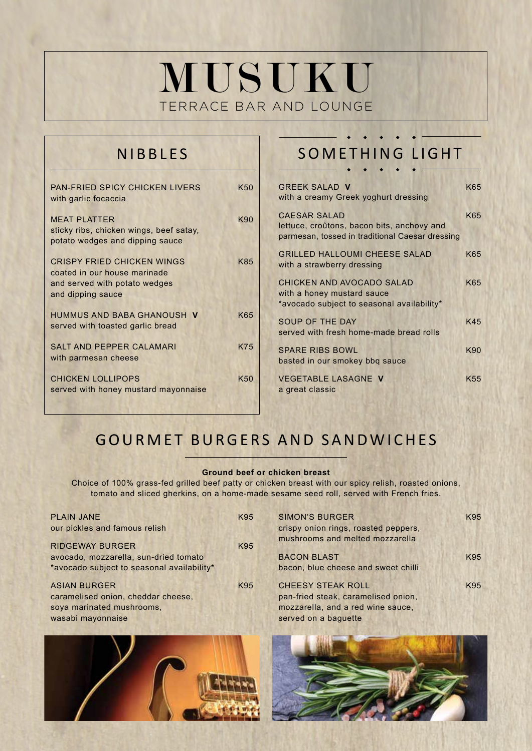# MUSUKU TERRACE BAR AND LOUNGE

## NIBBLES

| <b>PAN-FRIED SPICY CHICKEN LIVERS</b><br>with garlic focaccia                                                           | K50             |
|-------------------------------------------------------------------------------------------------------------------------|-----------------|
| <b>MEAT PLATTER</b><br>sticky ribs, chicken wings, beef satay,<br>potato wedges and dipping sauce                       | K90             |
| <b>CRISPY FRIED CHICKEN WINGS</b><br>coated in our house marinade<br>and served with potato wedges<br>and dipping sauce | K85             |
| HUMMUS AND BABA GHANOUSH V<br>served with toasted garlic bread                                                          | K65             |
| <b>SALT AND PEPPER CALAMARI</b><br>with parmesan cheese                                                                 | <b>K75</b>      |
| <b>CHICKEN LOLLIPOPS</b><br>served with honey mustard mayonnaise                                                        | K <sub>50</sub> |

## SOMETHING LIGHT

| <b>GREEK SALAD V</b><br>with a creamy Greek yoghurt dressing                                                         | K65             |
|----------------------------------------------------------------------------------------------------------------------|-----------------|
| <b>CAESAR SALAD</b><br>lettuce, croûtons, bacon bits, anchovy and<br>parmesan, tossed in traditional Caesar dressing | K65             |
| <b>GRILLED HALLOUMI CHEESE SALAD</b><br>with a strawberry dressing                                                   | K65             |
| CHICKEN AND AVOCADO SALAD<br>with a honey mustard sauce<br>*avocado subject to seasonal availability*                | K65             |
| SOUP OF THE DAY<br>served with fresh home-made bread rolls                                                           | K45             |
| <b>SPARE RIBS BOWL</b><br>basted in our smokey bbg sauce                                                             | K90             |
| <b>VEGETABLE LASAGNE V</b><br>a great classic                                                                        | K <sub>55</sub> |

## GOURMET BURGERS AND SANDWICHES

#### **Ground beef or chicken breast**

Choice of 100% grass-fed grilled beef patty or chicken breast with our spicy relish, roasted onions, tomato and sliced gherkins, on a home-made sesame seed roll, served with French fries.

| <b>PLAIN JANE</b><br>our pickles and famous relish | K95 | <b>SIMON'S BURGER</b><br>crispy onion rings, roasted peppers,<br>mushrooms and melted mozzarella | K95 |
|----------------------------------------------------|-----|--------------------------------------------------------------------------------------------------|-----|
| <b>RIDGEWAY BURGER</b>                             | K95 |                                                                                                  |     |
| avocado, mozzarella, sun-dried tomato              |     | <b>BACON BLAST</b>                                                                               | K95 |
| *avocado subject to seasonal availability*         |     | bacon, blue cheese and sweet chilli                                                              |     |
| <b>ASIAN BURGER</b>                                | K95 | <b>CHEESY STEAK ROLL</b>                                                                         | K95 |
| caramelised onion, cheddar cheese,                 |     | pan-fried steak, caramelised onion,                                                              |     |
| soya marinated mushrooms,                          |     | mozzarella, and a red wine sauce,                                                                |     |
| wasabi mayonnaise                                  |     | served on a baguette                                                                             |     |
|                                                    |     |                                                                                                  |     |